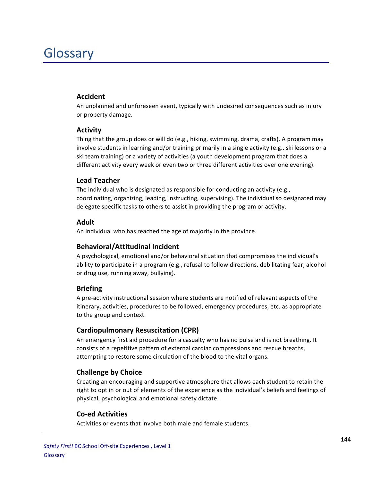# Glossary

#### **Accident**

An unplanned and unforeseen event, typically with undesired consequences such as injury or property damage.

#### **Activity**

Thing that the group does or will do (e.g., hiking, swimming, drama, crafts). A program may involve students in learning and/or training primarily in a single activity (e.g., ski lessons or a ski team training) or a variety of activities (a youth development program that does a different activity every week or even two or three different activities over one evening).

#### **Lead!Teacher**

The individual who is designated as responsible for conducting an activity (e.g., coordinating, organizing, leading, instructing, supervising). The individual so designated may delegate specific tasks to others to assist in providing the program or activity.

#### **Adult**

An individual who has reached the age of majority in the province.

#### **Behavioral/Attitudinal!Incident**

A psychological, emotional and/or behavioral situation that compromises the individual's ability to participate in a program (e.g., refusal to follow directions, debilitating fear, alcohol or drug use, running away, bullying).

#### **Briefing**

A pre-activity instructional session where students are notified of relevant aspects of the itinerary, activities, procedures to be followed, emergency procedures, etc. as appropriate to the group and context.

# **Cardiopulmonary Resuscitation (CPR)**

An emergency first aid procedure for a casualty who has no pulse and is not breathing. It consists of a repetitive pattern of external cardiac compressions and rescue breaths, attempting to restore some circulation of the blood to the vital organs.

# **Challenge by Choice**

Creating an encouraging and supportive atmosphere that allows each student to retain the right to opt in or out of elements of the experience as the individual's beliefs and feelings of physical, psychological and emotional safety dictate.

#### **Co+ed!Activities**

Activities or events that involve both male and female students.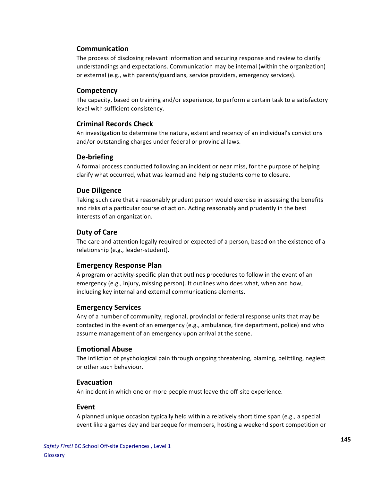### **Communication**

The process of disclosing relevant information and securing response and review to clarify understandings and expectations. Communication may be internal (within the organization) or external (e.g., with parents/guardians, service providers, emergency services).

#### **Competency**

The capacity, based on training and/or experience, to perform a certain task to a satisfactory level with sufficient consistency.

#### **Criminal!Records!Check**

An investigation to determine the nature, extent and recency of an individual's convictions and/or outstanding charges under federal or provincial laws.

#### **De+briefing**

A formal process conducted following an incident or near miss, for the purpose of helping clarify what occurred, what was learned and helping students come to closure.

#### **Due Diligence**

Taking such care that a reasonably prudent person would exercise in assessing the benefits and risks of a particular course of action. Acting reasonably and prudently in the best interests of an organization.

#### **Duty!of!Care**

The care and attention legally required or expected of a person, based on the existence of a relationship (e.g., leader-student).

#### **Emergency Response Plan**

A program or activity-specific plan that outlines procedures to follow in the event of an emergency (e.g., injury, missing person). It outlines who does what, when and how, including key internal and external communications elements.

#### **Emergency!Services**

Any of a number of community, regional, provincial or federal response units that may be contacted in the event of an emergency (e.g., ambulance, fire department, police) and who assume management of an emergency upon arrival at the scene.

#### **Emotional Abuse**

The infliction of psychological pain through ongoing threatening, blaming, belittling, neglect or other such behaviour.

#### **Evacuation**

An incident in which one or more people must leave the off-site experience.

#### **Event**

A planned unique occasion typically held within a relatively short time span (e.g., a special event like a games day and barbeque for members, hosting a weekend sport competition or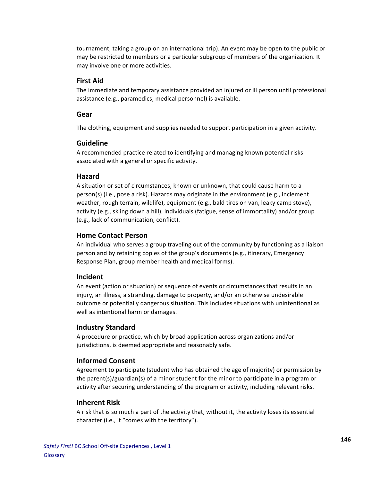tournament, taking a group on an international trip). An event may be open to the public or may be restricted to members or a particular subgroup of members of the organization. It may involve one or more activities.

#### **First!Aid**

The immediate and temporary assistance provided an injured or ill person until professional assistance (e.g., paramedics, medical personnel) is available.

#### **Gear**

The clothing, equipment and supplies needed to support participation in a given activity.

#### **Guideline**

A recommended practice related to identifying and managing known potential risks associated with a general or specific activity.

#### **Hazard**

A situation or set of circumstances, known or unknown, that could cause harm to a person(s) (i.e., pose a risk). Hazards may originate in the environment (e.g., inclement weather, rough terrain, wildlife), equipment (e.g., bald tires on van, leaky camp stove), activity (e.g., skiing down a hill), individuals (fatigue, sense of immortality) and/or group (e.g., lack of communication, conflict).

#### **Home!Contact!Person**

An individual who serves a group traveling out of the community by functioning as a liaison person and by retaining copies of the group's documents (e.g., itinerary, Emergency Response Plan, group member health and medical forms).

#### **Incident**

An event (action or situation) or sequence of events or circumstances that results in an injury, an illness, a stranding, damage to property, and/or an otherwise undesirable outcome or potentially dangerous situation. This includes situations with unintentional as well as intentional harm or damages.

#### **Industry!Standard**

A procedure or practice, which by broad application across organizations and/or jurisdictions, is deemed appropriate and reasonably safe.

#### **Informed!Consent**

Agreement to participate (student who has obtained the age of majority) or permission by the parent(s)/guardian(s) of a minor student for the minor to participate in a program or activity after securing understanding of the program or activity, including relevant risks.

#### **Inherent!Risk**

A risk that is so much a part of the activity that, without it, the activity loses its essential character (i.e., it "comes with the territory").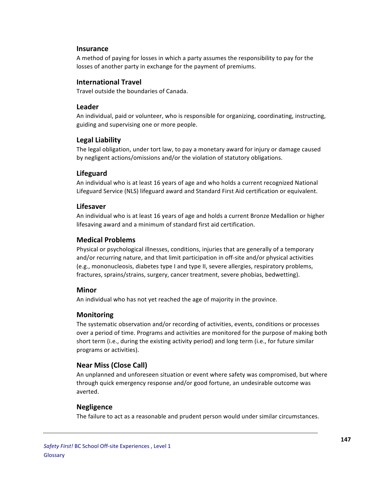#### **Insurance**

A method of paying for losses in which a party assumes the responsibility to pay for the losses of another party in exchange for the payment of premiums.

#### **International!Travel**

Travel outside the boundaries of Canada.

#### **Leader**

An individual, paid or volunteer, who is responsible for organizing, coordinating, instructing, guiding and supervising one or more people.

# **Legal Liability**

The legal obligation, under tort law, to pay a monetary award for injury or damage caused by negligent actions/omissions and/or the violation of statutory obligations.

# **Lifeguard**

An individual who is at least 16 years of age and who holds a current recognized National Lifeguard Service (NLS) lifeguard award and Standard First Aid certification or equivalent.

#### **Lifesaver**

An individual who is at least 16 years of age and holds a current Bronze Medallion or higher lifesaving award and a minimum of standard first aid certification.

### **Medical!Problems**

Physical or psychological illnesses, conditions, injuries that are generally of a temporary and/or recurring nature, and that limit participation in off-site and/or physical activities (e.g., mononucleosis, diabetes type I and type II, severe allergies, respiratory problems, fractures, sprains/strains, surgery, cancer treatment, severe phobias, bedwetting).

# **Minor**

An individual who has not yet reached the age of majority in the province.

# **Monitoring**

The systematic observation and/or recording of activities, events, conditions or processes over a period of time. Programs and activities are monitored for the purpose of making both short term (i.e., during the existing activity period) and long term (i.e., for future similar programs or activities).

# **Near Miss (Close Call)**

An unplanned and unforeseen situation or event where safety was compromised, but where through quick emergency response and/or good fortune, an undesirable outcome was averted.

# **Negligence**

The failure to act as a reasonable and prudent person would under similar circumstances.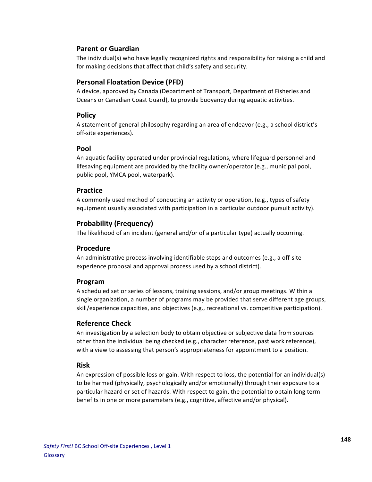# **Parent!or!Guardian**

The individual(s) who have legally recognized rights and responsibility for raising a child and for making decisions that affect that child's safety and security.

# **Personal Floatation Device (PFD)**

A device, approved by Canada (Department of Transport, Department of Fisheries and Oceans or Canadian Coast Guard), to provide buoyancy during aquatic activities.

### **Policy**

A statement of general philosophy regarding an area of endeavor (e.g., a school district's off-site experiences).

#### **Pool**

An aquatic facility operated under provincial regulations, where lifeguard personnel and lifesaving equipment are provided by the facility owner/operator (e.g., municipal pool, public pool, YMCA pool, waterpark).

#### **Practice**

A commonly used method of conducting an activity or operation, (e.g., types of safety equipment usually associated with participation in a particular outdoor pursuit activity).

# **Probability (Frequency)**

The likelihood of an incident (general and/or of a particular type) actually occurring.

#### **Procedure**

An administrative process involving identifiable steps and outcomes (e.g., a off-site experience proposal and approval process used by a school district).

# **Program**

A scheduled set or series of lessons, training sessions, and/or group meetings. Within a single organization, a number of programs may be provided that serve different age groups, skill/experience capacities, and objectives (e.g., recreational vs. competitive participation).

#### **Reference!Check**

An investigation by a selection body to obtain objective or subjective data from sources other than the individual being checked (e.g., character reference, past work reference), with a view to assessing that person's appropriateness for appointment to a position.

# **Risk**

An expression of possible loss or gain. With respect to loss, the potential for an individual(s) to be harmed (physically, psychologically and/or emotionally) through their exposure to a particular hazard or set of hazards. With respect to gain, the potential to obtain long term benefits in one or more parameters (e.g., cognitive, affective and/or physical).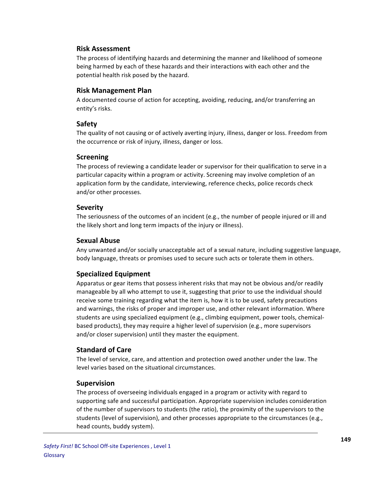#### **Risk!Assessment**

The process of identifying hazards and determining the manner and likelihood of someone being harmed by each of these hazards and their interactions with each other and the potential health risk posed by the hazard.

#### **Risk!Management!Plan**

A documented course of action for accepting, avoiding, reducing, and/or transferring an entity's risks.

#### **Safety**

The quality of not causing or of actively averting injury, illness, danger or loss. Freedom from the occurrence or risk of injury, illness, danger or loss.

#### **Screening**

The process of reviewing a candidate leader or supervisor for their qualification to serve in a particular capacity within a program or activity. Screening may involve completion of an application form by the candidate, interviewing, reference checks, police records check and/or other processes.

#### **Severity**

The seriousness of the outcomes of an incident (e.g., the number of people injured or ill and the likely short and long term impacts of the injury or illness).

#### **Sexual!Abuse**

Any unwanted and/or socially unacceptable act of a sexual nature, including suggestive language, body language, threats or promises used to secure such acts or tolerate them in others.

#### **Specialized!Equipment**

Apparatus or gear items that possess inherent risks that may not be obvious and/or readily manageable by all who attempt to use it, suggesting that prior to use the individual should receive some training regarding what the item is, how it is to be used, safety precautions and warnings, the risks of proper and improper use, and other relevant information. Where students are using specialized equipment (e.g., climbing equipment, power tools, chemicalbased products), they may require a higher level of supervision (e.g., more supervisors and/or closer supervision) until they master the equipment.

#### **Standard!of!Care**

The level of service, care, and attention and protection owed another under the law. The level varies based on the situational circumstances.

#### **Supervision**

The process of overseeing individuals engaged in a program or activity with regard to supporting safe and successful participation. Appropriate supervision includes consideration of the number of supervisors to students (the ratio), the proximity of the supervisors to the students (level of supervision), and other processes appropriate to the circumstances (e.g., head counts, buddy system).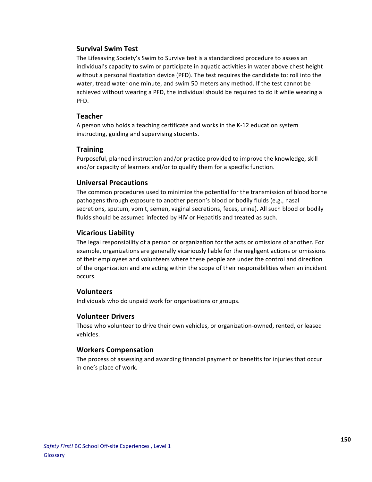#### **Survival!Swim!Test**

The Lifesaving Society's Swim to Survive test is a standardized procedure to assess an individual's capacity to swim or participate in aquatic activities in water above chest height without a personal floatation device (PFD). The test requires the candidate to: roll into the water, tread water one minute, and swim 50 meters any method. If the test cannot be achieved without wearing a PFD, the individual should be required to do it while wearing a PFD.

#### **Teacher**

A person who holds a teaching certificate and works in the K-12 education system instructing, guiding and supervising students.

# **Training**

Purposeful, planned instruction and/or practice provided to improve the knowledge, skill and/or capacity of learners and/or to qualify them for a specific function.

#### **Universal!Precautions**

The common procedures used to minimize the potential for the transmission of blood borne pathogens through exposure to another person's blood or bodily fluids (e.g., nasal secretions, sputum, vomit, semen, vaginal secretions, feces, urine). All such blood or bodily fluids should be assumed infected by HIV or Hepatitis and treated as such.

#### **Vicarious Liability**

The legal responsibility of a person or organization for the acts or omissions of another. For example, organizations are generally vicariously liable for the negligent actions or omissions of their employees and volunteers where these people are under the control and direction of the organization and are acting within the scope of their responsibilities when an incident occurs.

#### **Volunteers**

Individuals who do unpaid work for organizations or groups.

# **Volunteer!Drivers**

Those who volunteer to drive their own vehicles, or organization-owned, rented, or leased vehicles.

#### **Workers!Compensation**

The process of assessing and awarding financial payment or benefits for injuries that occur in one's place of work.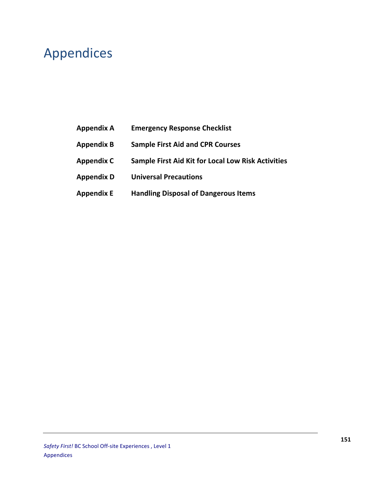# Appendices

- Appendix A **Emergency Response Checklist**
- **Appendix!B Sample!First!Aid!and!CPR!Courses**
- **Appendix!C Sample!First!Aid!Kit!for!Local!Low!Risk!Activities**
- **Appendix!D Universal!Precautions**
- **Appendix!E Handling!Disposal!of!Dangerous!Items**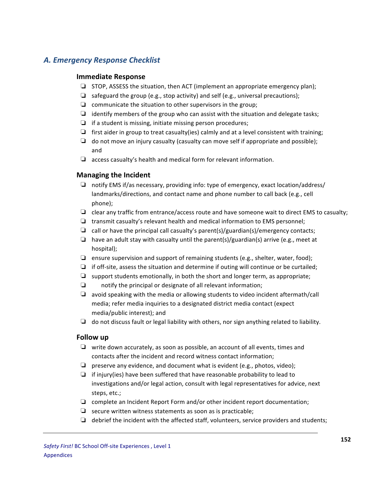# *A.%Emergency%Response%Checklist*

#### **Immediate!Response**

- $\Box$  STOP, ASSESS the situation, then ACT (implement an appropriate emergency plan);
- □ safeguard the group (e.g., stop activity) and self (e.g., universal precautions);
- $\Box$  communicate the situation to other supervisors in the group;
- $□$  identify members of the group who can assist with the situation and delegate tasks;
- $\Box$  if a student is missing, initiate missing person procedures;
- □ first aider in group to treat casualty(ies) calmly and at a level consistent with training;
- $\Box$  do not move an injury casualty (casualty can move self if appropriate and possible); and
- $\Box$  access casualty's health and medical form for relevant information.

#### **Managing the Incident**

- $\Box$  notify EMS if/as necessary, providing info: type of emergency, exact location/address/ landmarks/directions, and contact name and phone number to call back (e.g., cell phone);
- $\Box$  clear any traffic from entrance/access route and have someone wait to direct EMS to casualty;
- $\Box$  transmit casualty's relevant health and medical information to EMS personnel;
- $\Box$  call or have the principal call casualty's parent(s)/guardian(s)/emergency contacts;
- □ have an adult stay with casualty until the parent(s)/guardian(s) arrive (e.g., meet at hospital);
- □ ensure supervision and support of remaining students (e.g., shelter, water, food);
- $\Box$  if off-site, assess the situation and determine if outing will continue or be curtailed;
- □ support students emotionally, in both the short and longer term, as appropriate;
- $\Box$  notify the principal or designate of all relevant information;
- $\Box$  avoid speaking with the media or allowing students to video incident aftermath/call media; refer media inquiries to a designated district media contact (expect media/public interest); and
- $\Box$  do not discuss fault or legal liability with others, nor sign anything related to liability.

#### **Follow!up**

- $\Box$  write down accurately, as soon as possible, an account of all events, times and contacts after the incident and record witness contact information;
- $\Box$  preserve any evidence, and document what is evident (e.g., photos, video);
- $\Box$  if injury(ies) have been suffered that have reasonable probability to lead to investigations and/or legal action, consult with legal representatives for advice, next steps, etc.;
- $\Box$  complete an Incident Report Form and/or other incident report documentation;
- ❏ secure!written!witness!statements!as!soon!as!is!practicable;
- $\Box$  debrief the incident with the affected staff, volunteers, service providers and students;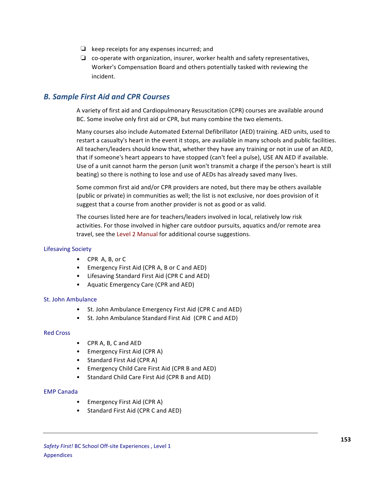- $\Box$  keep receipts for any expenses incurred; and
- $\Box$  co-operate with organization, insurer, worker health and safety representatives, Worker's Compensation Board and others potentially tasked with reviewing the incident.

# *B.%Sample%First%Aid%and%CPR%Courses%*

A variety of first aid and Cardiopulmonary Resuscitation (CPR) courses are available around BC. Some involve only first aid or CPR, but many combine the two elements.

Many courses also include Automated External Defibrillator (AED) training. AED units, used to restart a casualty's heart in the event it stops, are available in many schools and public facilities. All teachers/leaders should know that, whether they have any training or not in use of an AED, that if someone's heart appears to have stopped (can't feel a pulse), USE AN AED if available. Use of a unit cannot harm the person (unit won't transmit a charge if the person's heart is still beating) so there is nothing to lose and use of AEDs has already saved many lives.

Some common first aid and/or CPR providers are noted, but there may be others available (public or private) in communities as well; the list is not exclusive, nor does provision of it suggest that a course from another provider is not as good or as valid.

The courses listed here are for teachers/leaders involved in local, relatively low risk activities. For those involved in higher care outdoor pursuits, aquatics and/or remote area travel, see the Level 2 Manual for additional course suggestions.

#### Lifesaving Society

- CPR A, B, or C
- Emergency First Aid (CPR A, B or C and AED)
- Lifesaving Standard First Aid (CPR C and AED)
- Aquatic Emergency Care (CPR and AED)

#### St. John Ambulance

- St. John Ambulance Emergency First Aid (CPR C and AED)
- St. John Ambulance Standard First Aid (CPR C and AED)

#### Red Cross

- CPR A, B, C and AED
- Emergency First Aid (CPR A)
- Standard First Aid (CPR A)
- Emergency Child Care First Aid (CPR B and AED)
- Standard Child Care First Aid (CPR B and AED)

#### **EMP Canada**

- Emergency First Aid (CPR A)
- Standard First Aid (CPR C and AED)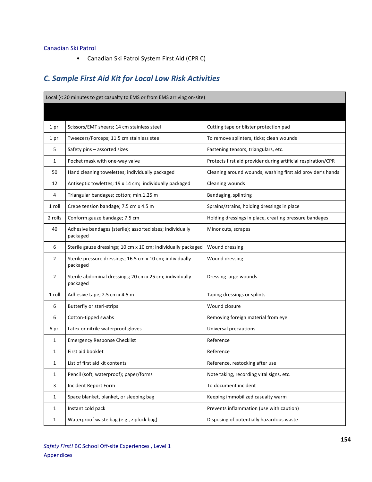#### Canadian Ski Patrol

• Canadian Ski Patrol System First Aid (CPR C)

# *C.%Sample%First%Aid%Kit%for%Local%Low%Risk%Activities*

| Local (< 20 minutes to get casualty to EMS or from EMS arriving on-site) |                                                                       |                                                               |  |
|--------------------------------------------------------------------------|-----------------------------------------------------------------------|---------------------------------------------------------------|--|
|                                                                          |                                                                       |                                                               |  |
| 1 pr.                                                                    | Scissors/EMT shears; 14 cm stainless steel                            | Cutting tape or blister protection pad                        |  |
| 1 pr.                                                                    | Tweezers/Forceps; 11.5 cm stainless steel                             | To remove splinters, ticks; clean wounds                      |  |
| 5                                                                        | Safety pins - assorted sizes                                          | Fastening tensors, triangulars, etc.                          |  |
| 1                                                                        | Pocket mask with one-way valve                                        | Protects first aid provider during artificial respiration/CPR |  |
| 50                                                                       | Hand cleaning towelettes; individually packaged                       | Cleaning around wounds, washing first aid provider's hands    |  |
| 12                                                                       | Antiseptic towlettes; 19 x 14 cm; individually packaged               | Cleaning wounds                                               |  |
| 4                                                                        | Triangular bandages; cotton; min.1.25 m                               | Bandaging, splinting                                          |  |
| 1 roll                                                                   | Crepe tension bandage; 7.5 cm x 4.5 m                                 | Sprains/strains, holding dressings in place                   |  |
| 2 rolls                                                                  | Conform gauze bandage; 7.5 cm                                         | Holding dressings in place, creating pressure bandages        |  |
| 40                                                                       | Adhesive bandages (sterile); assorted sizes; individually<br>packaged | Minor cuts, scrapes                                           |  |
| 6                                                                        | Sterile gauze dressings; 10 cm x 10 cm; individually packaged         | Wound dressing                                                |  |
| 2                                                                        | Sterile pressure dressings; 16.5 cm x 10 cm; individually<br>packaged | Wound dressing                                                |  |
| $\overline{2}$                                                           | Sterile abdominal dressings; 20 cm x 25 cm; individually<br>packaged  | Dressing large wounds                                         |  |
| 1 roll                                                                   | Adhesive tape; 2.5 cm x 4.5 m                                         | Taping dressings or splints                                   |  |
| 6                                                                        | Butterfly or steri-strips                                             | Wound closure                                                 |  |
| 6                                                                        | Cotton-tipped swabs                                                   | Removing foreign material from eye                            |  |
| 6 pr.                                                                    | Latex or nitrile waterproof gloves                                    | Universal precautions                                         |  |
| 1                                                                        | <b>Emergency Response Checklist</b>                                   | Reference                                                     |  |
| 1                                                                        | First aid booklet                                                     | Reference                                                     |  |
| 1                                                                        | List of first aid kit contents                                        | Reference, restocking after use                               |  |
| 1                                                                        | Pencil (soft, waterproof); paper/forms                                | Note taking, recording vital signs, etc.                      |  |
| 3                                                                        | Incident Report Form                                                  | To document incident                                          |  |
| $\mathbf{1}$                                                             | Space blanket, blanket, or sleeping bag                               | Keeping immobilized casualty warm                             |  |
| $\mathbf{1}$                                                             | Instant cold pack                                                     | Prevents inflammation (use with caution)                      |  |
| $\mathbf{1}$                                                             | Waterproof waste bag (e.g., ziplock bag)                              | Disposing of potentially hazardous waste                      |  |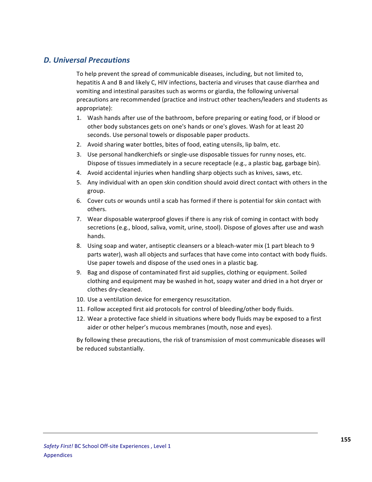# *D.%Universal%Precautions*

To help prevent the spread of communicable diseases, including, but not limited to, hepatitis A and B and likely C, HIV infections, bacteria and viruses that cause diarrhea and vomiting and intestinal parasites such as worms or giardia, the following universal precautions are recommended (practice and instruct other teachers/leaders and students as appropriate):

- 1. Wash hands after use of the bathroom, before preparing or eating food, or if blood or other body substances gets on one's hands or one's gloves. Wash for at least 20 seconds. Use personal towels or disposable paper products.
- 2. Avoid sharing water bottles, bites of food, eating utensils, lip balm, etc.
- 3. Use personal handkerchiefs or single-use disposable tissues for runny noses, etc. Dispose of tissues immediately in a secure receptacle (e.g., a plastic bag, garbage bin).
- 4. Avoid accidental injuries when handling sharp objects such as knives, saws, etc.
- 5. Any individual with an open skin condition should avoid direct contact with others in the group.
- 6. Cover cuts or wounds until a scab has formed if there is potential for skin contact with others.
- 7. Wear disposable waterproof gloves if there is any risk of coming in contact with body secretions (e.g., blood, saliva, vomit, urine, stool). Dispose of gloves after use and wash hands.
- 8. Using soap and water, antiseptic cleansers or a bleach-water mix (1 part bleach to 9 parts water), wash all objects and surfaces that have come into contact with body fluids. Use paper towels and dispose of the used ones in a plastic bag.
- 9. Bag and dispose of contaminated first aid supplies, clothing or equipment. Soiled clothing and equipment may be washed in hot, soapy water and dried in a hot dryer or clothes dry-cleaned.
- 10. Use a ventilation device for emergency resuscitation.
- 11. Follow accepted first aid protocols for control of bleeding/other body fluids.
- 12. Wear a protective face shield in situations where body fluids may be exposed to a first aider or other helper's mucous membranes (mouth, nose and eyes).

By following these precautions, the risk of transmission of most communicable diseases will be reduced substantially.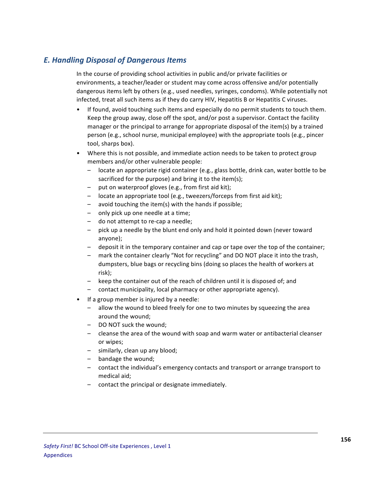# *E.%Handling%Disposal%of%Dangerous%Items*

In the course of providing school activities in public and/or private facilities or environments, a teacher/leader or student may come across offensive and/or potentially dangerous items left by others (e.g., used needles, syringes, condoms). While potentially not infected, treat all such items as if they do carry HIV, Hepatitis B or Hepatitis C viruses.

- If found, avoid touching such items and especially do no permit students to touch them. Keep the group away, close off the spot, and/or post a supervisor. Contact the facility manager or the principal to arrange for appropriate disposal of the item(s) by a trained person (e.g., school nurse, municipal employee) with the appropriate tools (e.g., pincer tool, sharps box).
- Where this is not possible, and immediate action needs to be taken to protect group members and/or other vulnerable people:
	- $-$  locate an appropriate rigid container (e.g., glass bottle, drink can, water bottle to be sacrificed for the purpose) and bring it to the item(s);
	- $-$  put on waterproof gloves (e.g., from first aid kit);
	- $-$  locate an appropriate tool (e.g., tweezers/forceps from first aid kit);
	- $-$  avoid touching the item(s) with the hands if possible;
	- $-$  only pick up one needle at a time;
	- $-$  do not attempt to re-cap a needle;
	- $-$  pick up a needle by the blunt end only and hold it pointed down (never toward anyone);
	- $-$  deposit it in the temporary container and cap or tape over the top of the container;
	- mark the container clearly "Not for recycling" and DO NOT place it into the trash, dumpsters, blue bags or recycling bins (doing so places the health of workers at risk);
	- keep the container out of the reach of children until it is disposed of; and
	- contact municipality, local pharmacy or other appropriate agency).
- $\bullet$  If a group member is injured by a needle:
	- allow the wound to bleed freely for one to two minutes by squeezing the area around the wound:
	- DO NOT suck the wound;
	- $-$  cleanse the area of the wound with soap and warm water or antibacterial cleanser or wipes;
	- similarly, clean up any blood;
	- $-$  bandage the wound;
	- contact the individual's emergency contacts and transport or arrange transport to medical aid:
	- contact the principal or designate immediately.